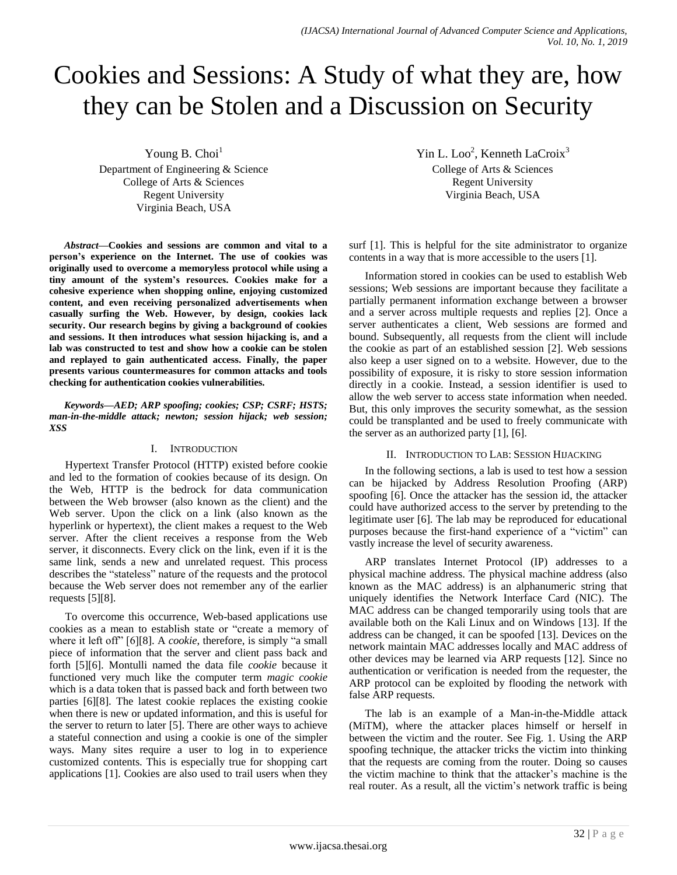# Cookies and Sessions: A Study of what they are, how they can be Stolen and a Discussion on Security

Young B. Choi $<sup>1</sup>$ </sup> Department of Engineering & Science College of Arts & Sciences Regent University Virginia Beach, USA

*Abstract***—Cookies and sessions are common and vital to a person's experience on the Internet. The use of cookies was originally used to overcome a memoryless protocol while using a tiny amount of the system's resources. Cookies make for a cohesive experience when shopping online, enjoying customized content, and even receiving personalized advertisements when casually surfing the Web. However, by design, cookies lack security. Our research begins by giving a background of cookies and sessions. It then introduces what session hijacking is, and a lab was constructed to test and show how a cookie can be stolen and replayed to gain authenticated access. Finally, the paper presents various countermeasures for common attacks and tools checking for authentication cookies vulnerabilities.**

*Keywords—AED; ARP spoofing; cookies; CSP; CSRF; HSTS; man-in-the-middle attack; newton; session hijack; web session; XSS*

# I. INTRODUCTION

Hypertext Transfer Protocol (HTTP) existed before cookie and led to the formation of cookies because of its design. On the Web, HTTP is the bedrock for data communication between the Web browser (also known as the client) and the Web server. Upon the click on a link (also known as the hyperlink or hypertext), the client makes a request to the Web server. After the client receives a response from the Web server, it disconnects. Every click on the link, even if it is the same link, sends a new and unrelated request. This process describes the "stateless" nature of the requests and the protocol because the Web server does not remember any of the earlier requests [5][8].

To overcome this occurrence, Web-based applications use cookies as a mean to establish state or "create a memory of where it left off" [6][8]. A *cookie*, therefore, is simply "a small piece of information that the server and client pass back and forth [5][6]. Montulli named the data file *cookie* because it functioned very much like the computer term *magic cookie*  which is a data token that is passed back and forth between two parties [6][8]. The latest cookie replaces the existing cookie when there is new or updated information, and this is useful for the server to return to later [5]. There are other ways to achieve a stateful connection and using a cookie is one of the simpler ways. Many sites require a user to log in to experience customized contents. This is especially true for shopping cart applications [1]. Cookies are also used to trail users when they

Yin L. Loo<sup>2</sup>, Kenneth LaCroix<sup>3</sup> College of Arts & Sciences Regent University Virginia Beach, USA

surf [1]. This is helpful for the site administrator to organize contents in a way that is more accessible to the users [1].

Information stored in cookies can be used to establish Web sessions; Web sessions are important because they facilitate a partially permanent information exchange between a browser and a server across multiple requests and replies [2]. Once a server authenticates a client, Web sessions are formed and bound. Subsequently, all requests from the client will include the cookie as part of an established session [2]. Web sessions also keep a user signed on to a website. However, due to the possibility of exposure, it is risky to store session information directly in a cookie. Instead, a session identifier is used to allow the web server to access state information when needed. But, this only improves the security somewhat, as the session could be transplanted and be used to freely communicate with the server as an authorized party [1], [6].

# II. INTRODUCTION TO LAB: SESSION HIJACKING

In the following sections, a lab is used to test how a session can be hijacked by Address Resolution Proofing (ARP) spoofing [6]. Once the attacker has the session id, the attacker could have authorized access to the server by pretending to the legitimate user [6]. The lab may be reproduced for educational purposes because the first-hand experience of a "victim" can vastly increase the level of security awareness.

ARP translates Internet Protocol (IP) addresses to a physical machine address. The physical machine address (also known as the MAC address) is an alphanumeric string that uniquely identifies the Network Interface Card (NIC). The MAC address can be changed temporarily using tools that are available both on the Kali Linux and on Windows [13]. If the address can be changed, it can be spoofed [13]. Devices on the network maintain MAC addresses locally and MAC address of other devices may be learned via ARP requests [12]. Since no authentication or verification is needed from the requester, the ARP protocol can be exploited by flooding the network with false ARP requests.

The lab is an example of a Man-in-the-Middle attack (MiTM), where the attacker places himself or herself in between the victim and the router. See Fig. 1. Using the ARP spoofing technique, the attacker tricks the victim into thinking that the requests are coming from the router. Doing so causes the victim machine to think that the attacker's machine is the real router. As a result, all the victim's network traffic is being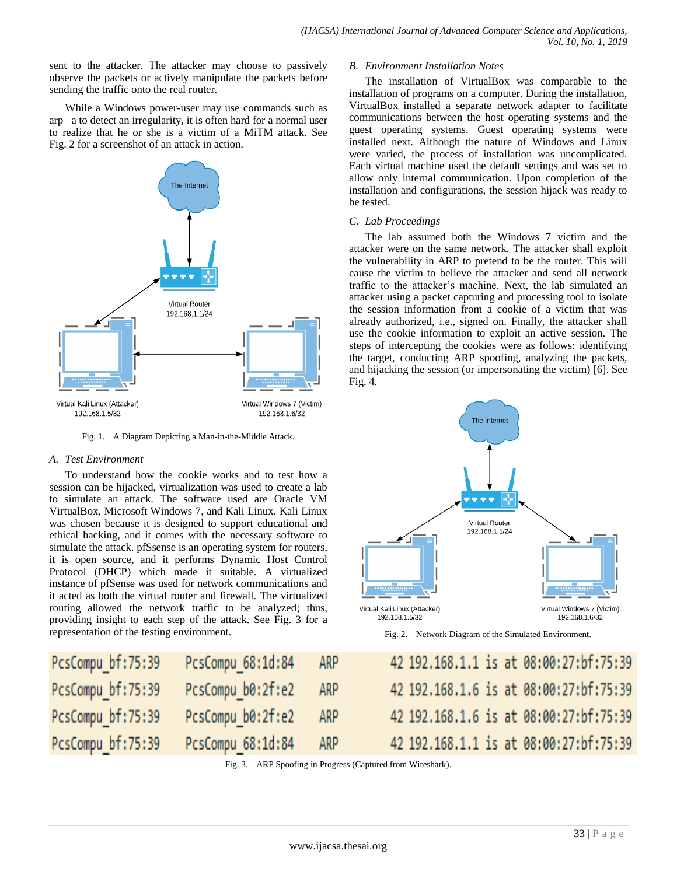sent to the attacker. The attacker may choose to passively observe the packets or actively manipulate the packets before sending the traffic onto the real router.

While a Windows power-user may use commands such as arp –a to detect an irregularity, it is often hard for a normal user to realize that he or she is a victim of a MiTM attack. See Fig. 2 for a screenshot of an attack in action.



Fig. 1. A Diagram Depicting a Man-in-the-Middle Attack.

# *A. Test Environment*

P

P

To understand how the cookie works and to test how a session can be hijacked, virtualization was used to create a lab to simulate an attack. The software used are Oracle VM VirtualBox, Microsoft Windows 7, and Kali Linux. Kali Linux was chosen because it is designed to support educational and ethical hacking, and it comes with the necessary software to simulate the attack. pfSsense is an operating system for routers, it is open source, and it performs Dynamic Host Control Protocol (DHCP) which made it suitable. A virtualized instance of pfSense was used for network communications and it acted as both the virtual router and firewall. The virtualized routing allowed the network traffic to be analyzed; thus, providing insight to each step of the attack. See Fig. 3 for a representation of the testing environment.

# *B. Environment Installation Notes*

The installation of VirtualBox was comparable to the installation of programs on a computer. During the installation, VirtualBox installed a separate network adapter to facilitate communications between the host operating systems and the guest operating systems. Guest operating systems were installed next. Although the nature of Windows and Linux were varied, the process of installation was uncomplicated. Each virtual machine used the default settings and was set to allow only internal communication. Upon completion of the installation and configurations, the session hijack was ready to be tested.

# *C. Lab Proceedings*

The lab assumed both the Windows 7 victim and the attacker were on the same network. The attacker shall exploit the vulnerability in ARP to pretend to be the router. This will cause the victim to believe the attacker and send all network traffic to the attacker's machine. Next, the lab simulated an attacker using a packet capturing and processing tool to isolate the session information from a cookie of a victim that was already authorized, i.e., signed on. Finally, the attacker shall use the cookie information to exploit an active session. The steps of intercepting the cookies were as follows: identifying the target, conducting ARP spoofing, analyzing the packets, and hijacking the session (or impersonating the victim) [6]. See Fig. 4.



Fig. 2. Network Diagram of the Simulated Environment.

| csCompu bf:75:39 | PcsCompu 68:1d:84 | ARP  | 42 192,168,1,1 is at 08:00:27:bf:75:39 |
|------------------|-------------------|------|----------------------------------------|
| csCompu bf:75:39 | PcsCompu b0:2f:e2 | ARP  | 42 192.168.1.6 is at 08:00:27:bf:75:39 |
| csCompu bf:75:39 | PcsCompu b0:2f:e2 | ARP  | 42 192.168.1.6 is at 08:00:27:bf:75:39 |
| csCompu bf:75:39 | PcsCompu 68:1d:84 | ARP. | 42 192.168.1.1 is at 08:00:27:bf:75:39 |

Fig. 3. ARP Spoofing in Progress (Captured from Wireshark).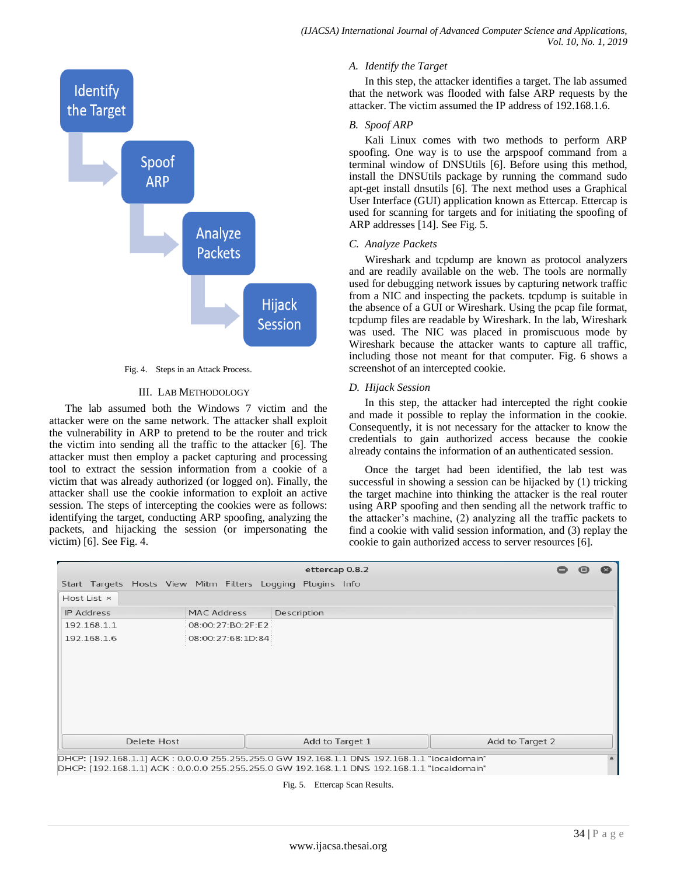

Fig. 4. Steps in an Attack Process.

#### III. LAB METHODOLOGY

The lab assumed both the Windows 7 victim and the attacker were on the same network. The attacker shall exploit the vulnerability in ARP to pretend to be the router and trick the victim into sending all the traffic to the attacker [6]. The attacker must then employ a packet capturing and processing tool to extract the session information from a cookie of a victim that was already authorized (or logged on). Finally, the attacker shall use the cookie information to exploit an active session. The steps of intercepting the cookies were as follows: identifying the target, conducting ARP spoofing, analyzing the packets, and hijacking the session (or impersonating the victim) [6]. See Fig. 4.

#### *A. Identify the Target*

In this step, the attacker identifies a target. The lab assumed that the network was flooded with false ARP requests by the attacker. The victim assumed the IP address of 192.168.1.6.

#### *B. Spoof ARP*

Kali Linux comes with two methods to perform ARP spoofing. One way is to use the arpspoof command from a terminal window of DNSUtils [6]. Before using this method, install the DNSUtils package by running the command sudo apt-get install dnsutils [6]. The next method uses a Graphical User Interface (GUI) application known as Ettercap. Ettercap is used for scanning for targets and for initiating the spoofing of ARP addresses [14]. See Fig. 5.

#### *C. Analyze Packets*

Wireshark and tcpdump are known as protocol analyzers and are readily available on the web. The tools are normally used for debugging network issues by capturing network traffic from a NIC and inspecting the packets. tcpdump is suitable in the absence of a GUI or Wireshark. Using the pcap file format, tcpdump files are readable by Wireshark. In the lab, Wireshark was used. The NIC was placed in promiscuous mode by Wireshark because the attacker wants to capture all traffic, including those not meant for that computer. Fig. 6 shows a screenshot of an intercepted cookie.

#### *D. Hijack Session*

In this step, the attacker had intercepted the right cookie and made it possible to replay the information in the cookie. Consequently, it is not necessary for the attacker to know the credentials to gain authorized access because the cookie already contains the information of an authenticated session.

Once the target had been identified, the lab test was successful in showing a session can be hijacked by (1) tricking the target machine into thinking the attacker is the real router using ARP spoofing and then sending all the network traffic to the attacker's machine, (2) analyzing all the traffic packets to find a cookie with valid session information, and (3) replay the cookie to gain authorized access to server resources [6].

|                                                            |                   | ettercap 0.8.2  | $\blacksquare$  |
|------------------------------------------------------------|-------------------|-----------------|-----------------|
| Start Targets Hosts View Mitm Filters Logging Plugins Info |                   |                 |                 |
| Host List ×                                                |                   |                 |                 |
| IP Address                                                 | MAC Address       | Description     |                 |
| 192.168.1.1                                                | 08:00:27:B0:2F:E2 |                 |                 |
| 192.168.1.6                                                | 08:00:27:68:1D:84 |                 |                 |
|                                                            |                   |                 |                 |
|                                                            |                   |                 |                 |
|                                                            |                   |                 |                 |
|                                                            |                   |                 |                 |
|                                                            |                   |                 |                 |
|                                                            |                   |                 |                 |
|                                                            |                   |                 |                 |
| Delete Host                                                |                   | Add to Target 1 | Add to Target 2 |

DHCP: [192.168.1.1] ACK: 0.0.0.0 255.255.255.0 GW 192.168.1.1 DNS 192.168.1.1 "localdomain"

Fig. 5. Ettercap Scan Results.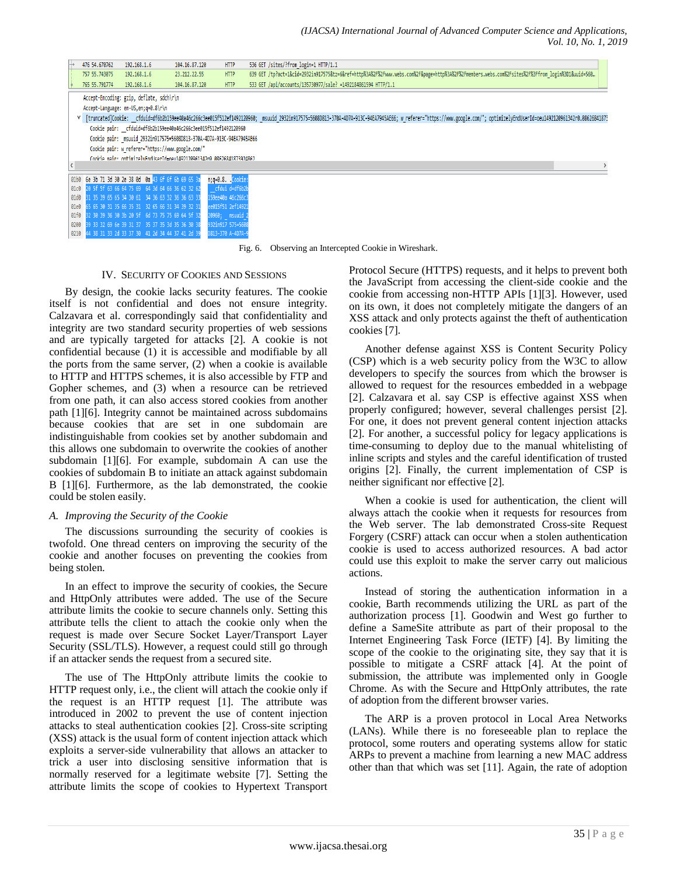*(IJACSA) International Journal of Advanced Computer Science and Applications, Vol. 10, No. 1, 2019*

|   | 476 54,670762                                                         | 192.168.1.6                                          | 104.16.87.120                                                         | <b>HTTP</b>       |  | 536 GET /sites/?from login=1 HTTP/1.1                                                                                                                                                                                      |  |  |  |
|---|-----------------------------------------------------------------------|------------------------------------------------------|-----------------------------------------------------------------------|-------------------|--|----------------------------------------------------------------------------------------------------------------------------------------------------------------------------------------------------------------------------|--|--|--|
|   | 757 55.743075                                                         | 192.168.1.6                                          | 23.212.22.55                                                          | <b>HTTP</b>       |  | 639 GET /tp?act=1&cid=2932in917575&tz=6&ref=http%3A%2F%2Fwww.webs.com%2F&page=http%3A%2F%2Fmembers.webs.com%2Fsites%2F%3Ffrom login%3D1&uuid=560                                                                           |  |  |  |
|   | 765 55, 791774                                                        | 192.168.1.6                                          | 104.16.87.120                                                         | <b>HTTP</b>       |  | 533 GET /api/accounts/135730977/sale? =1492184861594 HTTP/1.1                                                                                                                                                              |  |  |  |
|   | Accept-Encoding: gzip, deflate, sdch\r\n                              |                                                      |                                                                       |                   |  |                                                                                                                                                                                                                            |  |  |  |
|   | Accept-Language: en-US, en; q=0.8\r\n                                 |                                                      |                                                                       |                   |  |                                                                                                                                                                                                                            |  |  |  |
|   |                                                                       |                                                      |                                                                       |                   |  | V [truncated]Cookie: cfduid=df6b2b159ee40a46c266c3ee015f512ef1492120960; msuuid 2932in917575=56080813-370A-4D7A-913C-94EA7945AE66; w referer="https://www.google.com/"; optimizelyEndUserId=oeu1492120961342r0.08626841873 |  |  |  |
|   |                                                                       |                                                      | Cookie pair: cfduid=df6b2b159ee40a46c266c3ee015f512ef1492120960       |                   |  |                                                                                                                                                                                                                            |  |  |  |
|   | Cookie pair: msuuid 2932in917575=5608D813-370A-4D7A-913C-94EA7945AE66 |                                                      |                                                                       |                   |  |                                                                                                                                                                                                                            |  |  |  |
|   | Cookie pair: w referer="https://www.google.com/"                      |                                                      |                                                                       |                   |  |                                                                                                                                                                                                                            |  |  |  |
|   |                                                                       |                                                      | Conkie nair: ontimizelyEndHserId=oeu1492128961342r9 88626841873924862 |                   |  |                                                                                                                                                                                                                            |  |  |  |
| K |                                                                       |                                                      |                                                                       |                   |  |                                                                                                                                                                                                                            |  |  |  |
|   |                                                                       | 01b0 6e 3b 71 3d 30 2e 38 0d 0a 43 6f 6f 6b 69 65 3a |                                                                       | n;q=0.8. Cookie:  |  |                                                                                                                                                                                                                            |  |  |  |
|   | <b>01c0</b>                                                           | 20 5f 5f 63 66 64 75 69 64 3d 64 66 36 62 32 62      |                                                                       | cfdui d=df6b2b    |  |                                                                                                                                                                                                                            |  |  |  |
|   | 01d0                                                                  | 31 35 39 65 65 34 30 61 34 36 63 32 36 36 63 33      |                                                                       | 159ee40a 46c266c3 |  |                                                                                                                                                                                                                            |  |  |  |
|   | 01e0                                                                  | 65 65 30 31 35 66 35 31 32 65 66 31 34 39 32 31      |                                                                       | ee015f51 2ef14921 |  |                                                                                                                                                                                                                            |  |  |  |
|   | 01f0                                                                  | 32 30 39 36 30 3b 20 5f 6d 73 75 75 69 64 5f 32      |                                                                       | 20960; msuuid 2   |  |                                                                                                                                                                                                                            |  |  |  |
|   | 0200                                                                  | 69 6e 39 31 37 35 37 35 3d 35 36 30 38               |                                                                       | 932in917 575=5608 |  |                                                                                                                                                                                                                            |  |  |  |
|   |                                                                       | 0210 44 38 31 33 2d 33 37 30 41 2d 34 44 37 41 2d 39 |                                                                       | 1813-370 A-4D7A-9 |  |                                                                                                                                                                                                                            |  |  |  |

Fig. 6. Observing an Intercepted Cookie in Wireshark.

#### IV. SECURITY OF COOKIES AND SESSIONS

By design, the cookie lacks security features. The cookie itself is not confidential and does not ensure integrity. Calzavara et al. correspondingly said that confidentiality and integrity are two standard security properties of web sessions and are typically targeted for attacks [2]. A cookie is not confidential because (1) it is accessible and modifiable by all the ports from the same server, (2) when a cookie is available to HTTP and HTTPS schemes, it is also accessible by FTP and Gopher schemes, and (3) when a resource can be retrieved from one path, it can also access stored cookies from another path [1][6]. Integrity cannot be maintained across subdomains because cookies that are set in one subdomain are indistinguishable from cookies set by another subdomain and this allows one subdomain to overwrite the cookies of another subdomain [1][6]. For example, subdomain A can use the cookies of subdomain B to initiate an attack against subdomain B [1][6]. Furthermore, as the lab demonstrated, the cookie could be stolen easily.

#### *A. Improving the Security of the Cookie*

The discussions surrounding the security of cookies is twofold. One thread centers on improving the security of the cookie and another focuses on preventing the cookies from being stolen.

In an effect to improve the security of cookies, the Secure and HttpOnly attributes were added. The use of the Secure attribute limits the cookie to secure channels only. Setting this attribute tells the client to attach the cookie only when the request is made over Secure Socket Layer/Transport Layer Security (SSL/TLS). However, a request could still go through if an attacker sends the request from a secured site.

The use of The HttpOnly attribute limits the cookie to HTTP request only, i.e., the client will attach the cookie only if the request is an HTTP request [1]. The attribute was introduced in 2002 to prevent the use of content injection attacks to steal authentication cookies [2]. Cross-site scripting (XSS) attack is the usual form of content injection attack which exploits a server-side vulnerability that allows an attacker to trick a user into disclosing sensitive information that is normally reserved for a legitimate website [7]. Setting the attribute limits the scope of cookies to Hypertext Transport Protocol Secure (HTTPS) requests, and it helps to prevent both the JavaScript from accessing the client-side cookie and the cookie from accessing non-HTTP APIs [1][3]. However, used on its own, it does not completely mitigate the dangers of an XSS attack and only protects against the theft of authentication cookies [7].

Another defense against XSS is Content Security Policy (CSP) which is a web security policy from the W3C to allow developers to specify the sources from which the browser is allowed to request for the resources embedded in a webpage [2]. Calzavara et al. say CSP is effective against XSS when properly configured; however, several challenges persist [2]. For one, it does not prevent general content injection attacks [2]. For another, a successful policy for legacy applications is time-consuming to deploy due to the manual whitelisting of inline scripts and styles and the careful identification of trusted origins [2]. Finally, the current implementation of CSP is neither significant nor effective [2].

When a cookie is used for authentication, the client will always attach the cookie when it requests for resources from the Web server. The lab demonstrated Cross-site Request Forgery (CSRF) attack can occur when a stolen authentication cookie is used to access authorized resources. A bad actor could use this exploit to make the server carry out malicious actions.

Instead of storing the authentication information in a cookie, Barth recommends utilizing the URL as part of the authorization process [1]. Goodwin and West go further to define a SameSite attribute as part of their proposal to the Internet Engineering Task Force (IETF) [4]. By limiting the scope of the cookie to the originating site, they say that it is possible to mitigate a CSRF attack [4]. At the point of submission, the attribute was implemented only in Google Chrome. As with the Secure and HttpOnly attributes, the rate of adoption from the different browser varies.

The ARP is a proven protocol in Local Area Networks (LANs). While there is no foreseeable plan to replace the protocol, some routers and operating systems allow for static ARPs to prevent a machine from learning a new MAC address other than that which was set [11]. Again, the rate of adoption